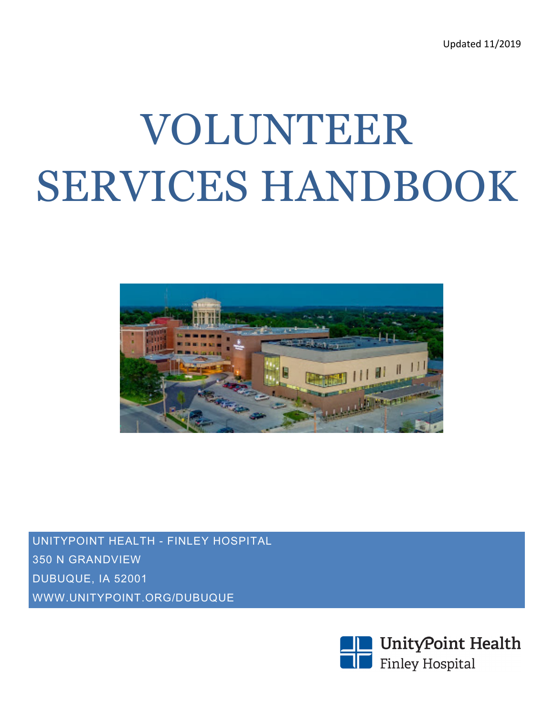# VOLUNTEER SERVICES HANDBOOK



UNITYPOINT HEALTH - FINLEY HOSPITAL 350 N GRANDVIEW DUBUQUE, IA 52001 WWW.UNITYPOINT.ORG/DUBUQUE

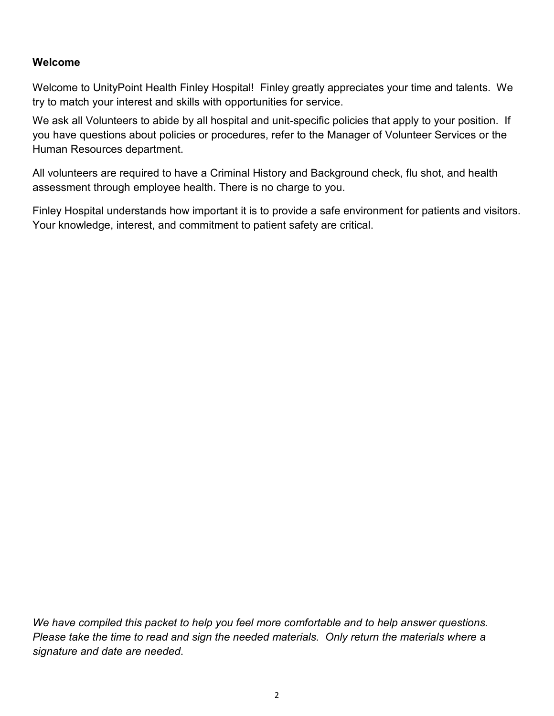#### **Welcome**

Welcome to UnityPoint Health Finley Hospital! Finley greatly appreciates your time and talents. We try to match your interest and skills with opportunities for service.

We ask all Volunteers to abide by all hospital and unit-specific policies that apply to your position. If you have questions about policies or procedures, refer to the Manager of Volunteer Services or the Human Resources department.

All volunteers are required to have a Criminal History and Background check, flu shot, and health assessment through employee health. There is no charge to you.

Finley Hospital understands how important it is to provide a safe environment for patients and visitors. Your knowledge, interest, and commitment to patient safety are critical.

*We have compiled this packet to help you feel more comfortable and to help answer questions. Please take the time to read and sign the needed materials. Only return the materials where a signature and date are needed*.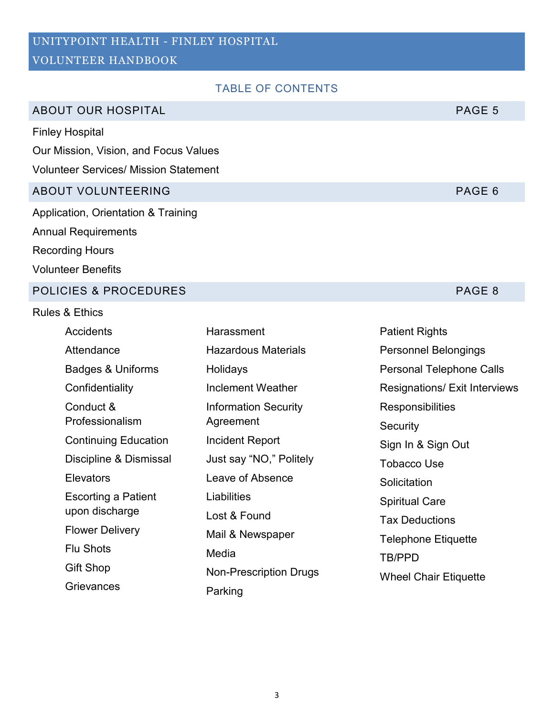# UNITYPOINT HEALTH - FINLEY HOSPITAL

# VOLUNTEER HANDBOOK

# TABLE OF CONTENTS

# ABOUT OUR HOSPITAL ABOUT OUR HOSPITAL

Finley Hospital

Our Mission, Vision, and Focus Values

Volunteer Services/ Mission Statement

# ABOUT VOLUNTEERING PAGE 6

Application, Orientation & Training Annual Requirements

Recording Hours

Volunteer Benefits

#### POLICIES & PROCEDURES **POLICIES & PROCEDURES**

#### Rules & Ethics

| <b>Accidents</b>             | Harassment                    | <b>Patient Rights</b>                |
|------------------------------|-------------------------------|--------------------------------------|
| Attendance                   | <b>Hazardous Materials</b>    | <b>Personnel Belongings</b>          |
| <b>Badges &amp; Uniforms</b> | Holidays                      | <b>Personal Telephone Calls</b>      |
| Confidentiality              | Inclement Weather             | <b>Resignations/ Exit Interviews</b> |
| Conduct &                    | <b>Information Security</b>   | Responsibilities                     |
| Professionalism              | Agreement                     | Security                             |
| <b>Continuing Education</b>  | Incident Report               | Sign In & Sign Out                   |
| Discipline & Dismissal       | Just say "NO," Politely       | <b>Tobacco Use</b>                   |
| <b>Elevators</b>             | Leave of Absence              | Solicitation                         |
| <b>Escorting a Patient</b>   | Liabilities                   | <b>Spiritual Care</b>                |
| upon discharge               | Lost & Found                  | <b>Tax Deductions</b>                |
| <b>Flower Delivery</b>       | Mail & Newspaper              | Telephone Etiquette                  |
| <b>Flu Shots</b>             | Media                         | <b>TB/PPD</b>                        |
| Gift Shop                    | <b>Non-Prescription Drugs</b> | <b>Wheel Chair Etiquette</b>         |
| Grievances                   | Parking                       |                                      |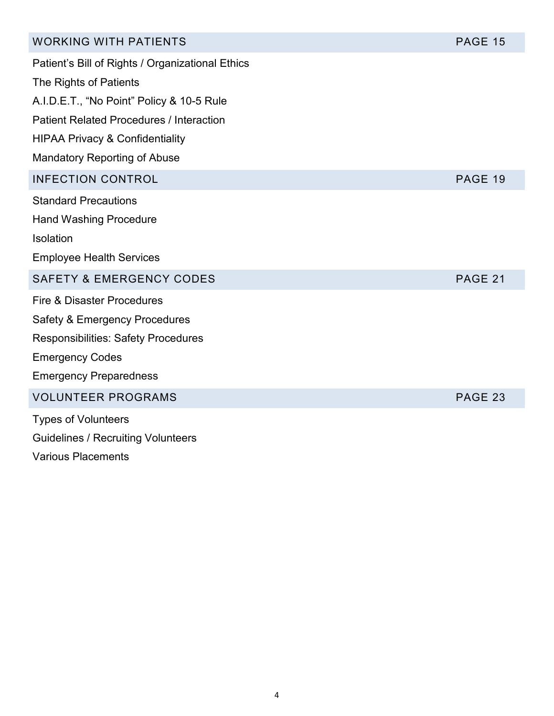| <b>WORKING WITH PATIENTS</b>                     | <b>PAGE 15</b> |
|--------------------------------------------------|----------------|
| Patient's Bill of Rights / Organizational Ethics |                |
| The Rights of Patients                           |                |
| A.I.D.E.T., "No Point" Policy & 10-5 Rule        |                |
| <b>Patient Related Procedures / Interaction</b>  |                |
| <b>HIPAA Privacy &amp; Confidentiality</b>       |                |
| <b>Mandatory Reporting of Abuse</b>              |                |
| <b>INFECTION CONTROL</b>                         | PAGE 19        |
| <b>Standard Precautions</b>                      |                |
| <b>Hand Washing Procedure</b>                    |                |
| Isolation                                        |                |
| <b>Employee Health Services</b>                  |                |
| <b>SAFETY &amp; EMERGENCY CODES</b>              | PAGE 21        |
| <b>Fire &amp; Disaster Procedures</b>            |                |
| Safety & Emergency Procedures                    |                |
| <b>Responsibilities: Safety Procedures</b>       |                |
| <b>Emergency Codes</b>                           |                |
| <b>Emergency Preparedness</b>                    |                |
| <b>VOLUNTEER PROGRAMS</b>                        | <b>PAGE 23</b> |
| <b>Types of Volunteers</b>                       |                |
| <b>Guidelines / Recruiting Volunteers</b>        |                |
| <b>Various Placements</b>                        |                |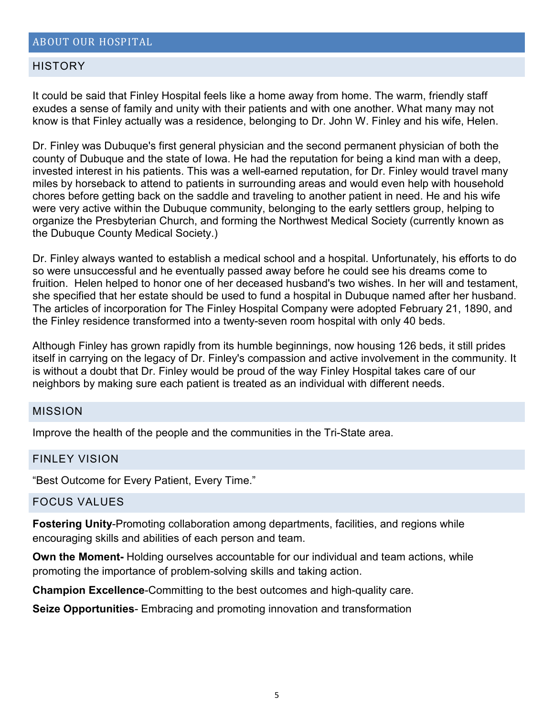#### **HISTORY**

It could be said that Finley Hospital feels like a home away from home. The warm, friendly staff exudes a sense of family and unity with their patients and with one another. What many may not know is that Finley actually was a residence, belonging to Dr. John W. Finley and his wife, Helen.

Dr. Finley was Dubuque's first general physician and the second permanent physician of both the county of Dubuque and the state of Iowa. He had the reputation for being a kind man with a deep, invested interest in his patients. This was a well-earned reputation, for Dr. Finley would travel many miles by horseback to attend to patients in surrounding areas and would even help with household chores before getting back on the saddle and traveling to another patient in need. He and his wife were very active within the Dubuque community, belonging to the early settlers group, helping to organize the Presbyterian Church, and forming the Northwest Medical Society (currently known as the Dubuque County Medical Society.)

Dr. Finley always wanted to establish a medical school and a hospital. Unfortunately, his efforts to do so were unsuccessful and he eventually passed away before he could see his dreams come to fruition. Helen helped to honor one of her deceased husband's two wishes. In her will and testament, she specified that her estate should be used to fund a hospital in Dubuque named after her husband. The articles of incorporation for The Finley Hospital Company were adopted [February 21, 1890,](http://www.unitypoint.org/dubuque/timeline) and the Finley residence transformed into a twenty-seven room hospital with only 40 beds.

Although Finley has grown rapidly from its humble beginnings, now housing 126 beds, it still prides itself in carrying on the legacy of Dr. Finley's compassion and active involvement in the community. It is without a doubt that Dr. Finley would be proud of the way Finley Hospital takes care of our neighbors by making sure each patient is treated as an individual with different needs.

#### MISSION

Improve the health of the people and the communities in the Tri-State area.

#### FINLEY VISION

"Best Outcome for Every Patient, Every Time."

#### FOCUS VALUES

**Fostering Unity**-Promoting collaboration among departments, facilities, and regions while encouraging skills and abilities of each person and team.

**Own the Moment-** Holding ourselves accountable for our individual and team actions, while promoting the importance of problem-solving skills and taking action.

**Champion Excellence**-Committing to the best outcomes and high-quality care.

**Seize Opportunities**- Embracing and promoting innovation and transformation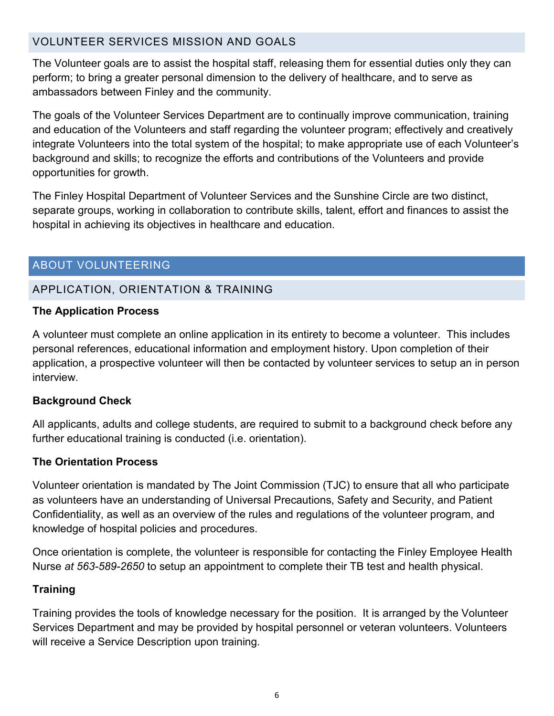# VOLUNTEER SERVICES MISSION AND GOALS

The Volunteer goals are to assist the hospital staff, releasing them for essential duties only they can perform; to bring a greater personal dimension to the delivery of healthcare, and to serve as ambassadors between Finley and the community.

The goals of the Volunteer Services Department are to continually improve communication, training and education of the Volunteers and staff regarding the volunteer program; effectively and creatively integrate Volunteers into the total system of the hospital; to make appropriate use of each Volunteer's background and skills; to recognize the efforts and contributions of the Volunteers and provide opportunities for growth.

The Finley Hospital Department of Volunteer Services and the Sunshine Circle are two distinct, separate groups, working in collaboration to contribute skills, talent, effort and finances to assist the hospital in achieving its objectives in healthcare and education.

# ABOUT VOLUNTEERING

# APPLICATION, ORIENTATION & TRAINING

#### **The Application Process**

A volunteer must complete an online application in its entirety to become a volunteer. This includes personal references, educational information and employment history. Upon completion of their application, a prospective volunteer will then be contacted by volunteer services to setup an in person interview.

## **Background Check**

All applicants, adults and college students, are required to submit to a background check before any further educational training is conducted (i.e. orientation).

## **The Orientation Process**

Volunteer orientation is mandated by The Joint Commission (TJC) to ensure that all who participate as volunteers have an understanding of Universal Precautions, Safety and Security, and Patient Confidentiality, as well as an overview of the rules and regulations of the volunteer program, and knowledge of hospital policies and procedures.

Once orientation is complete, the volunteer is responsible for contacting the Finley Employee Health Nurse *at 563-589-2650* to setup an appointment to complete their TB test and health physical.

## **Training**

Training provides the tools of knowledge necessary for the position. It is arranged by the Volunteer Services Department and may be provided by hospital personnel or veteran volunteers. Volunteers will receive a Service Description upon training.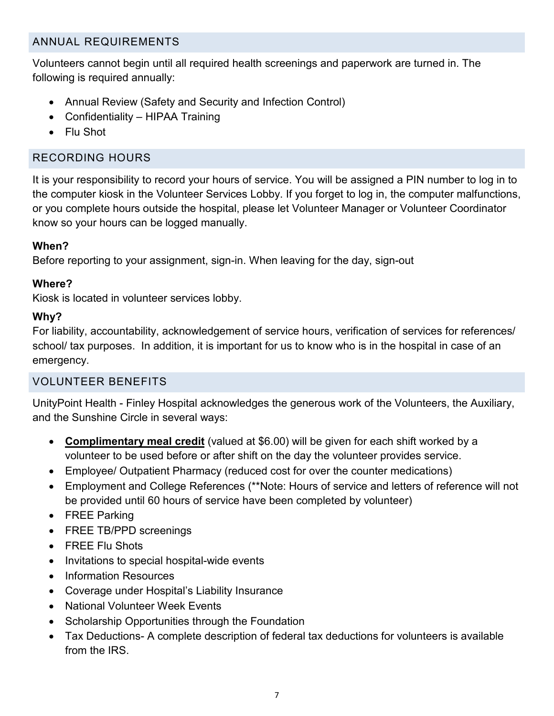# ANNUAL REQUIREMENTS

Volunteers cannot begin until all required health screenings and paperwork are turned in. The following is required annually:

- Annual Review (Safety and Security and Infection Control)
- Confidentiality HIPAA Training
- Flu Shot

# RECORDING HOURS

It is your responsibility to record your hours of service. You will be assigned a PIN number to log in to the computer kiosk in the Volunteer Services Lobby. If you forget to log in, the computer malfunctions, or you complete hours outside the hospital, please let Volunteer Manager or Volunteer Coordinator know so your hours can be logged manually.

# **When?**

Before reporting to your assignment, sign-in. When leaving for the day, sign-out

# **Where?**

Kiosk is located in volunteer services lobby.

# **Why?**

For liability, accountability, acknowledgement of service hours, verification of services for references/ school/ tax purposes. In addition, it is important for us to know who is in the hospital in case of an emergency.

# VOLUNTEER BENEFITS

UnityPoint Health - Finley Hospital acknowledges the generous work of the Volunteers, the Auxiliary, and the Sunshine Circle in several ways:

- **Complimentary meal credit** (valued at \$6.00) will be given for each shift worked by a volunteer to be used before or after shift on the day the volunteer provides service.
- Employee/ Outpatient Pharmacy (reduced cost for over the counter medications)
- Employment and College References (\*\*Note: Hours of service and letters of reference will not be provided until 60 hours of service have been completed by volunteer)
- FREE Parking
- FREE TB/PPD screenings
- FREE Flu Shots
- Invitations to special hospital-wide events
- Information Resources
- Coverage under Hospital's Liability Insurance
- National Volunteer Week Events
- Scholarship Opportunities through the Foundation
- Tax Deductions- A complete description of federal tax deductions for volunteers is available from the IRS.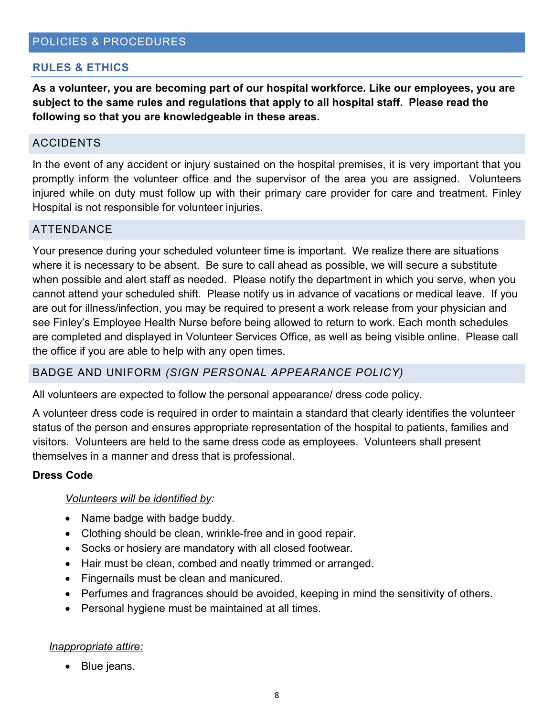#### **RULES & ETHICS**

**As a volunteer, you are becoming part of our hospital workforce. Like our employees, you are subject to the same rules and regulations that apply to all hospital staff. Please read the following so that you are knowledgeable in these areas.** 

#### ACCIDENTS

In the event of any accident or injury sustained on the hospital premises, it is very important that you promptly inform the volunteer office and the supervisor of the area you are assigned. Volunteers injured while on duty must follow up with their primary care provider for care and treatment. Finley Hospital is not responsible for volunteer injuries.

#### ATTENDANCE

Your presence during your scheduled volunteer time is important. We realize there are situations where it is necessary to be absent. Be sure to call ahead as possible, we will secure a substitute when possible and alert staff as needed. Please notify the department in which you serve, when you cannot attend your scheduled shift. Please notify us in advance of vacations or medical leave. If you are out for illness/infection, you may be required to present a work release from your physician and see Finley's Employee Health Nurse before being allowed to return to work. Each month schedules are completed and displayed in Volunteer Services Office, as well as being visible online. Please call the office if you are able to help with any open times.

#### BADGE AND UNIFORM *(SIGN PERSONAL APPEARANCE POLICY)*

All volunteers are expected to follow the personal appearance/ dress code policy.

A volunteer dress code is required in order to maintain a standard that clearly identifies the volunteer status of the person and ensures appropriate representation of the hospital to patients, families and visitors. Volunteers are held to the same dress code as employees. Volunteers shall present themselves in a manner and dress that is professional.

#### **Dress Code**

#### *Volunteers will be identified by:*

- Name badge with badge buddy.
- Clothing should be clean, wrinkle-free and in good repair.
- Socks or hosiery are mandatory with all closed footwear.
- Hair must be clean, combed and neatly trimmed or arranged.
- Fingernails must be clean and manicured.
- Perfumes and fragrances should be avoided, keeping in mind the sensitivity of others.
- Personal hygiene must be maintained at all times.

#### *Inappropriate attire:*

• Blue jeans.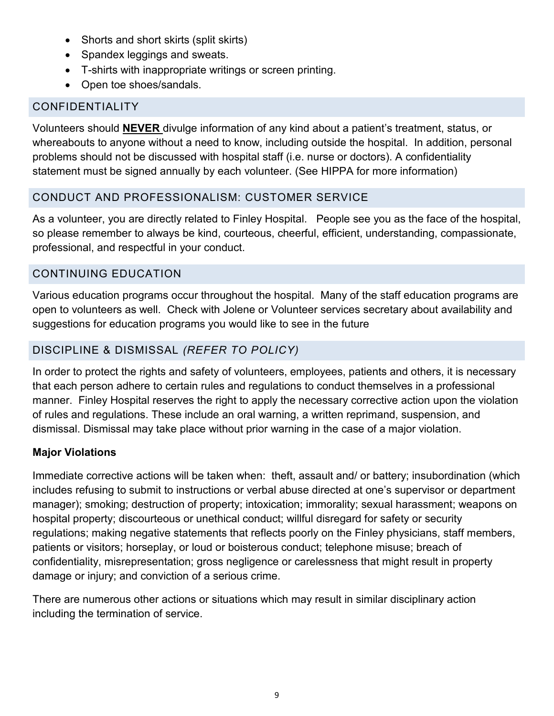- Shorts and short skirts (split skirts)
- Spandex leggings and sweats.
- T-shirts with inappropriate writings or screen printing.
- Open toe shoes/sandals.

# CONFIDENTIALITY

Volunteers should **NEVER** divulge information of any kind about a patient's treatment, status, or whereabouts to anyone without a need to know, including outside the hospital. In addition, personal problems should not be discussed with hospital staff (i.e. nurse or doctors). A confidentiality statement must be signed annually by each volunteer. (See HIPPA for more information)

# CONDUCT AND PROFESSIONALISM: CUSTOMER SERVICE

As a volunteer, you are directly related to Finley Hospital. People see you as the face of the hospital, so please remember to always be kind, courteous, cheerful, efficient, understanding, compassionate, professional, and respectful in your conduct.

# CONTINUING EDUCATION

Various education programs occur throughout the hospital. Many of the staff education programs are open to volunteers as well. Check with Jolene or Volunteer services secretary about availability and suggestions for education programs you would like to see in the future

# DISCIPLINE & DISMISSAL *(REFER TO POLICY)*

In order to protect the rights and safety of volunteers, employees, patients and others, it is necessary that each person adhere to certain rules and regulations to conduct themselves in a professional manner. Finley Hospital reserves the right to apply the necessary corrective action upon the violation of rules and regulations. These include an oral warning, a written reprimand, suspension, and dismissal. Dismissal may take place without prior warning in the case of a major violation.

# **Major Violations**

Immediate corrective actions will be taken when: theft, assault and/ or battery; insubordination (which includes refusing to submit to instructions or verbal abuse directed at one's supervisor or department manager); smoking; destruction of property; intoxication; immorality; sexual harassment; weapons on hospital property; discourteous or unethical conduct; willful disregard for safety or security regulations; making negative statements that reflects poorly on the Finley physicians, staff members, patients or visitors; horseplay, or loud or boisterous conduct; telephone misuse; breach of confidentiality, misrepresentation; gross negligence or carelessness that might result in property damage or injury; and conviction of a serious crime.

There are numerous other actions or situations which may result in similar disciplinary action including the termination of service.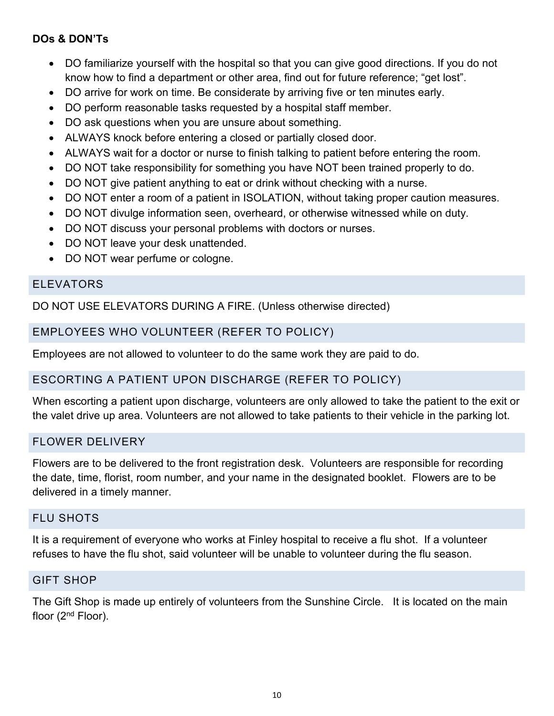# **DOs & DON'Ts**

- DO familiarize yourself with the hospital so that you can give good directions. If you do not know how to find a department or other area, find out for future reference; "get lost".
- DO arrive for work on time. Be considerate by arriving five or ten minutes early.
- DO perform reasonable tasks requested by a hospital staff member.
- DO ask questions when you are unsure about something.
- ALWAYS knock before entering a closed or partially closed door.
- ALWAYS wait for a doctor or nurse to finish talking to patient before entering the room.
- DO NOT take responsibility for something you have NOT been trained properly to do.
- DO NOT give patient anything to eat or drink without checking with a nurse.
- DO NOT enter a room of a patient in ISOLATION, without taking proper caution measures.
- DO NOT divulge information seen, overheard, or otherwise witnessed while on duty.
- DO NOT discuss your personal problems with doctors or nurses.
- DO NOT leave your desk unattended.
- DO NOT wear perfume or cologne.

#### ELEVATORS

DO NOT USE ELEVATORS DURING A FIRE. (Unless otherwise directed)

# EMPLOYEES WHO VOLUNTEER (REFER TO POLICY)

Employees are not allowed to volunteer to do the same work they are paid to do.

## ESCORTING A PATIENT UPON DISCHARGE (REFER TO POLICY)

When escorting a patient upon discharge, volunteers are only allowed to take the patient to the exit or the valet drive up area. Volunteers are not allowed to take patients to their vehicle in the parking lot.

## FLOWER DELIVERY

Flowers are to be delivered to the front registration desk. Volunteers are responsible for recording the date, time, florist, room number, and your name in the designated booklet. Flowers are to be delivered in a timely manner.

#### FLU SHOTS

It is a requirement of everyone who works at Finley hospital to receive a flu shot. If a volunteer refuses to have the flu shot, said volunteer will be unable to volunteer during the flu season.

#### GIFT SHOP

The Gift Shop is made up entirely of volunteers from the Sunshine Circle. It is located on the main floor (2<sup>nd</sup> Floor).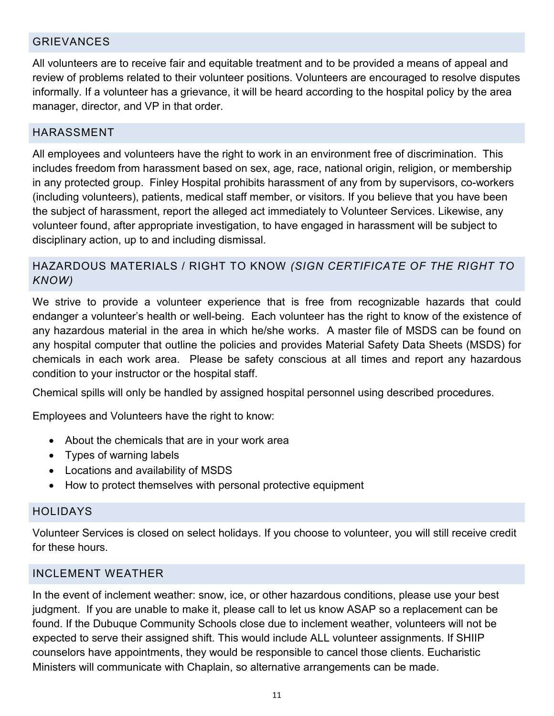### GRIEVANCES

All volunteers are to receive fair and equitable treatment and to be provided a means of appeal and review of problems related to their volunteer positions. Volunteers are encouraged to resolve disputes informally. If a volunteer has a grievance, it will be heard according to the hospital policy by the area manager, director, and VP in that order.

#### HARASSMENT

All employees and volunteers have the right to work in an environment free of discrimination. This includes freedom from harassment based on sex, age, race, national origin, religion, or membership in any protected group. Finley Hospital prohibits harassment of any from by supervisors, co-workers (including volunteers), patients, medical staff member, or visitors. If you believe that you have been the subject of harassment, report the alleged act immediately to Volunteer Services. Likewise, any volunteer found, after appropriate investigation, to have engaged in harassment will be subject to disciplinary action, up to and including dismissal.

# HAZARDOUS MATERIALS / RIGHT TO KNOW *(SIGN CERTIFICATE OF THE RIGHT TO KNOW)*

We strive to provide a volunteer experience that is free from recognizable hazards that could endanger a volunteer's health or well-being. Each volunteer has the right to know of the existence of any hazardous material in the area in which he/she works. A master file of MSDS can be found on any hospital computer that outline the policies and provides Material Safety Data Sheets (MSDS) for chemicals in each work area. Please be safety conscious at all times and report any hazardous condition to your instructor or the hospital staff.

Chemical spills will only be handled by assigned hospital personnel using described procedures.

Employees and Volunteers have the right to know:

- About the chemicals that are in your work area
- Types of warning labels
- Locations and availability of MSDS
- How to protect themselves with personal protective equipment

#### HOLIDAYS

Volunteer Services is closed on select holidays. If you choose to volunteer, you will still receive credit for these hours.

#### INCLEMENT WEATHER

In the event of inclement weather: snow, ice, or other hazardous conditions, please use your best judgment. If you are unable to make it, please call to let us know ASAP so a replacement can be found. If the Dubuque Community Schools close due to inclement weather, volunteers will not be expected to serve their assigned shift. This would include ALL volunteer assignments. If SHIIP counselors have appointments, they would be responsible to cancel those clients. Eucharistic Ministers will communicate with Chaplain, so alternative arrangements can be made.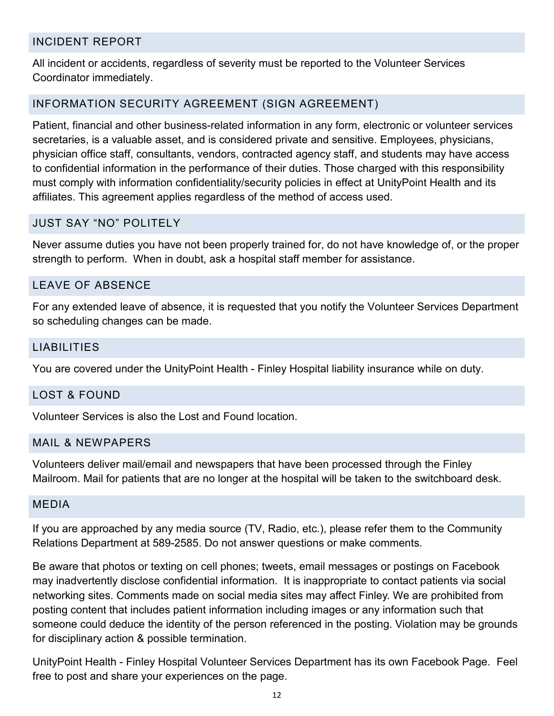#### INCIDENT REPORT

All incident or accidents, regardless of severity must be reported to the Volunteer Services Coordinator immediately.

#### INFORMATION SECURITY AGREEMENT (SIGN AGREEMENT)

Patient, financial and other business-related information in any form, electronic or volunteer services secretaries, is a valuable asset, and is considered private and sensitive. Employees, physicians, physician office staff, consultants, vendors, contracted agency staff, and students may have access to confidential information in the performance of their duties. Those charged with this responsibility must comply with information confidentiality/security policies in effect at UnityPoint Health and its affiliates. This agreement applies regardless of the method of access used.

#### JUST SAY "NO" POLITELY

Never assume duties you have not been properly trained for, do not have knowledge of, or the proper strength to perform. When in doubt, ask a hospital staff member for assistance.

#### LEAVE OF ABSENCE

For any extended leave of absence, it is requested that you notify the Volunteer Services Department so scheduling changes can be made.

#### LIABILITIES

You are covered under the UnityPoint Health - Finley Hospital liability insurance while on duty.

#### LOST & FOUND

Volunteer Services is also the Lost and Found location.

#### MAIL & NEWPAPERS

Volunteers deliver mail/email and newspapers that have been processed through the Finley Mailroom. Mail for patients that are no longer at the hospital will be taken to the switchboard desk.

#### MEDIA

If you are approached by any media source (TV, Radio, etc.), please refer them to the Community Relations Department at 589-2585. Do not answer questions or make comments.

Be aware that photos or texting on cell phones; tweets, email messages or postings on Facebook may inadvertently disclose confidential information. It is inappropriate to contact patients via social networking sites. Comments made on social media sites may affect Finley. We are prohibited from posting content that includes patient information including images or any information such that someone could deduce the identity of the person referenced in the posting. Violation may be grounds for disciplinary action & possible termination.

UnityPoint Health - Finley Hospital Volunteer Services Department has its own Facebook Page. Feel free to post and share your experiences on the page.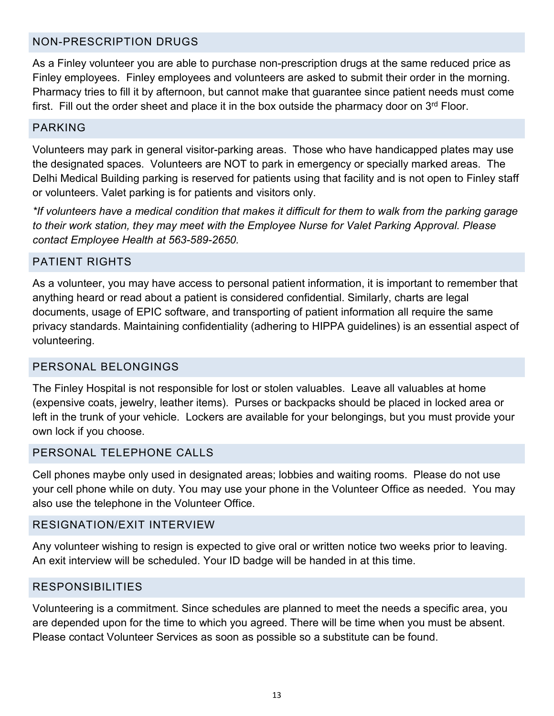### NON-PRESCRIPTION DRUGS

As a Finley volunteer you are able to purchase non-prescription drugs at the same reduced price as Finley employees. Finley employees and volunteers are asked to submit their order in the morning. Pharmacy tries to fill it by afternoon, but cannot make that guarantee since patient needs must come first. Fill out the order sheet and place it in the box outside the pharmacy door on  $3<sup>rd</sup>$  Floor.

#### PARKING

Volunteers may park in general visitor-parking areas. Those who have handicapped plates may use the designated spaces. Volunteers are NOT to park in emergency or specially marked areas. The Delhi Medical Building parking is reserved for patients using that facility and is not open to Finley staff or volunteers. Valet parking is for patients and visitors only.

*\*If volunteers have a medical condition that makes it difficult for them to walk from the parking garage to their work station, they may meet with the Employee Nurse for Valet Parking Approval. Please contact Employee Health at 563-589-2650.*

#### PATIENT RIGHTS

As a volunteer, you may have access to personal patient information, it is important to remember that anything heard or read about a patient is considered confidential. Similarly, charts are legal documents, usage of EPIC software, and transporting of patient information all require the same privacy standards. Maintaining confidentiality (adhering to HIPPA guidelines) is an essential aspect of volunteering.

#### PERSONAL BELONGINGS

The Finley Hospital is not responsible for lost or stolen valuables. Leave all valuables at home (expensive coats, jewelry, leather items). Purses or backpacks should be placed in locked area or left in the trunk of your vehicle. Lockers are available for your belongings, but you must provide your own lock if you choose.

#### PERSONAL TELEPHONE CALLS

Cell phones maybe only used in designated areas; lobbies and waiting rooms. Please do not use your cell phone while on duty. You may use your phone in the Volunteer Office as needed. You may also use the telephone in the Volunteer Office.

#### RESIGNATION/EXIT INTERVIEW

Any volunteer wishing to resign is expected to give oral or written notice two weeks prior to leaving. An exit interview will be scheduled. Your ID badge will be handed in at this time.

#### RESPONSIBILITIES

Volunteering is a commitment. Since schedules are planned to meet the needs a specific area, you are depended upon for the time to which you agreed. There will be time when you must be absent. Please contact Volunteer Services as soon as possible so a substitute can be found.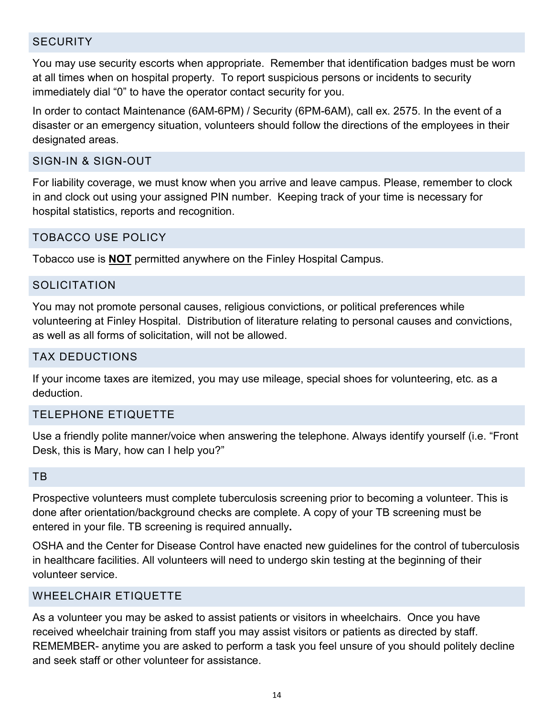#### **SECURITY**

You may use security escorts when appropriate. Remember that identification badges must be worn at all times when on hospital property. To report suspicious persons or incidents to security immediately dial "0" to have the operator contact security for you.

In order to contact Maintenance (6AM-6PM) / Security (6PM-6AM), call ex. 2575. In the event of a disaster or an emergency situation, volunteers should follow the directions of the employees in their designated areas.

#### SIGN-IN & SIGN-OUT

For liability coverage, we must know when you arrive and leave campus. Please, remember to clock in and clock out using your assigned PIN number. Keeping track of your time is necessary for hospital statistics, reports and recognition.

#### TOBACCO USE POLICY

Tobacco use is **NOT** permitted anywhere on the Finley Hospital Campus.

#### **SOLICITATION**

You may not promote personal causes, religious convictions, or political preferences while volunteering at Finley Hospital. Distribution of literature relating to personal causes and convictions, as well as all forms of solicitation, will not be allowed.

#### TAX DEDUCTIONS

If your income taxes are itemized, you may use mileage, special shoes for volunteering, etc. as a deduction.

#### TELEPHONE ETIQUETTE

Use a friendly polite manner/voice when answering the telephone. Always identify yourself (i.e. "Front Desk, this is Mary, how can I help you?"

#### TB

Prospective volunteers must complete tuberculosis screening prior to becoming a volunteer. This is done after orientation/background checks are complete. A copy of your TB screening must be entered in your file. TB screening is required annually**.**

OSHA and the Center for Disease Control have enacted new guidelines for the control of tuberculosis in healthcare facilities. All volunteers will need to undergo skin testing at the beginning of their volunteer service.

#### WHEELCHAIR ETIQUETTE

As a volunteer you may be asked to assist patients or visitors in wheelchairs. Once you have received wheelchair training from staff you may assist visitors or patients as directed by staff. REMEMBER- anytime you are asked to perform a task you feel unsure of you should politely decline and seek staff or other volunteer for assistance.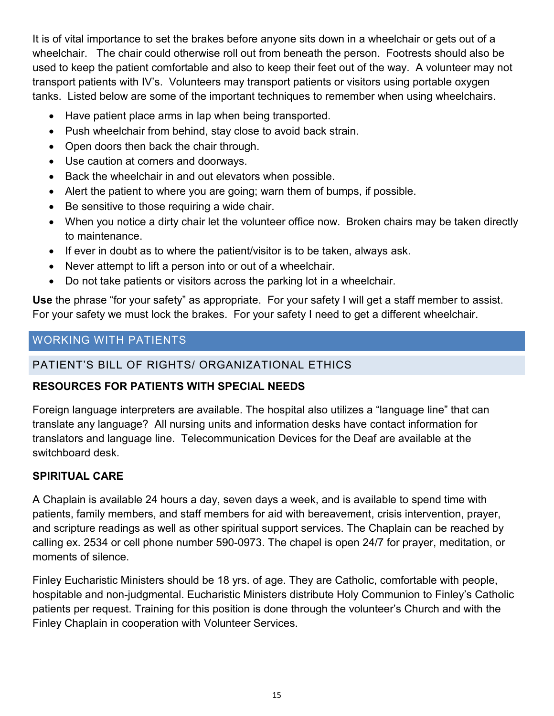It is of vital importance to set the brakes before anyone sits down in a wheelchair or gets out of a wheelchair. The chair could otherwise roll out from beneath the person. Footrests should also be used to keep the patient comfortable and also to keep their feet out of the way. A volunteer may not transport patients with IV's. Volunteers may transport patients or visitors using portable oxygen tanks. Listed below are some of the important techniques to remember when using wheelchairs.

- Have patient place arms in lap when being transported.
- Push wheelchair from behind, stay close to avoid back strain.
- Open doors then back the chair through.
- Use caution at corners and doorways.
- Back the wheelchair in and out elevators when possible.
- Alert the patient to where you are going; warn them of bumps, if possible.
- Be sensitive to those requiring a wide chair.
- When you notice a dirty chair let the volunteer office now. Broken chairs may be taken directly to maintenance.
- If ever in doubt as to where the patient/visitor is to be taken, always ask.
- Never attempt to lift a person into or out of a wheelchair.
- Do not take patients or visitors across the parking lot in a wheelchair.

**Use** the phrase "for your safety" as appropriate. For your safety I will get a staff member to assist. For your safety we must lock the brakes. For your safety I need to get a different wheelchair.

# WORKING WITH PATIENTS

# PATIENT'S BILL OF RIGHTS/ ORGANIZATIONAL ETHICS

# **RESOURCES FOR PATIENTS WITH SPECIAL NEEDS**

Foreign language interpreters are available. The hospital also utilizes a "language line" that can translate any language? All nursing units and information desks have contact information for translators and language line. Telecommunication Devices for the Deaf are available at the switchboard desk.

# **SPIRITUAL CARE**

A Chaplain is available 24 hours a day, seven days a week, and is available to spend time with patients, family members, and staff members for aid with bereavement, crisis intervention, prayer, and scripture readings as well as other spiritual support services. The Chaplain can be reached by calling ex. 2534 or cell phone number 590-0973. The chapel is open 24/7 for prayer, meditation, or moments of silence.

Finley Eucharistic Ministers should be 18 yrs. of age. They are Catholic, comfortable with people, hospitable and non-judgmental. Eucharistic Ministers distribute Holy Communion to Finley's Catholic patients per request. Training for this position is done through the volunteer's Church and with the Finley Chaplain in cooperation with Volunteer Services.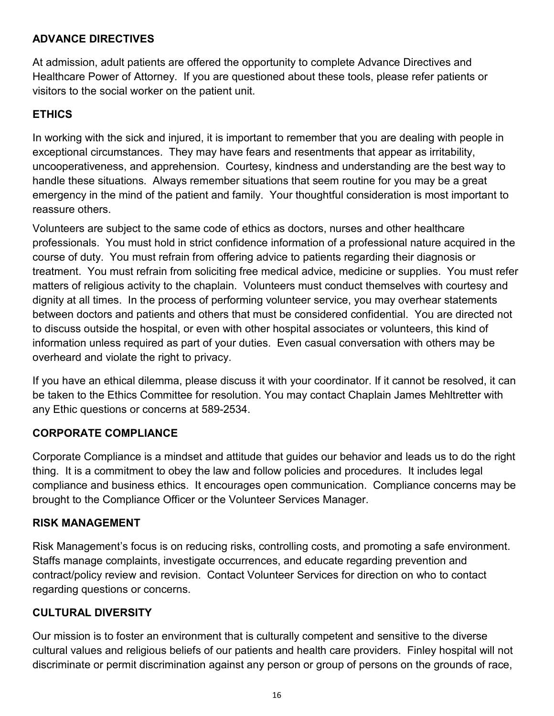# **ADVANCE DIRECTIVES**

At admission, adult patients are offered the opportunity to complete Advance Directives and Healthcare Power of Attorney. If you are questioned about these tools, please refer patients or visitors to the social worker on the patient unit.

# **ETHICS**

In working with the sick and injured, it is important to remember that you are dealing with people in exceptional circumstances. They may have fears and resentments that appear as irritability, uncooperativeness, and apprehension. Courtesy, kindness and understanding are the best way to handle these situations. Always remember situations that seem routine for you may be a great emergency in the mind of the patient and family. Your thoughtful consideration is most important to reassure others.

Volunteers are subject to the same code of ethics as doctors, nurses and other healthcare professionals. You must hold in strict confidence information of a professional nature acquired in the course of duty. You must refrain from offering advice to patients regarding their diagnosis or treatment. You must refrain from soliciting free medical advice, medicine or supplies. You must refer matters of religious activity to the chaplain. Volunteers must conduct themselves with courtesy and dignity at all times. In the process of performing volunteer service, you may overhear statements between doctors and patients and others that must be considered confidential. You are directed not to discuss outside the hospital, or even with other hospital associates or volunteers, this kind of information unless required as part of your duties. Even casual conversation with others may be overheard and violate the right to privacy.

If you have an ethical dilemma, please discuss it with your coordinator. If it cannot be resolved, it can be taken to the Ethics Committee for resolution. You may contact Chaplain James Mehltretter with any Ethic questions or concerns at 589-2534.

## **CORPORATE COMPLIANCE**

Corporate Compliance is a mindset and attitude that guides our behavior and leads us to do the right thing. It is a commitment to obey the law and follow policies and procedures. It includes legal compliance and business ethics. It encourages open communication. Compliance concerns may be brought to the Compliance Officer or the Volunteer Services Manager.

#### **RISK MANAGEMENT**

Risk Management's focus is on reducing risks, controlling costs, and promoting a safe environment. Staffs manage complaints, investigate occurrences, and educate regarding prevention and contract/policy review and revision. Contact Volunteer Services for direction on who to contact regarding questions or concerns.

#### **CULTURAL DIVERSITY**

Our mission is to foster an environment that is culturally competent and sensitive to the diverse cultural values and religious beliefs of our patients and health care providers. Finley hospital will not discriminate or permit discrimination against any person or group of persons on the grounds of race,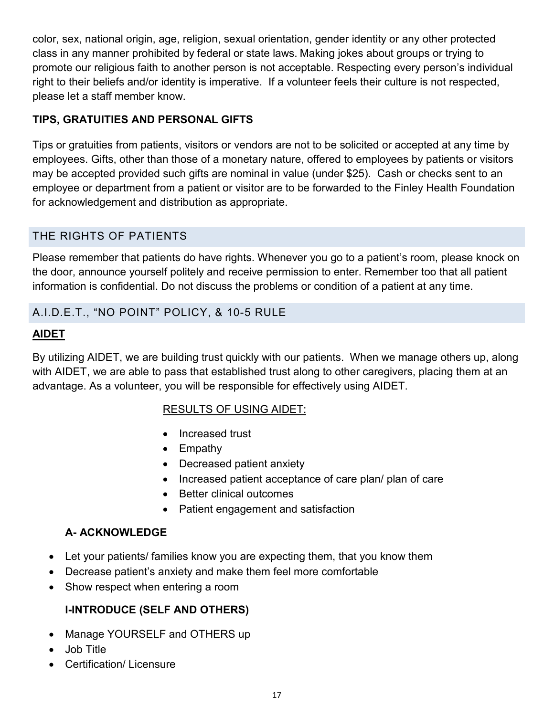color, sex, national origin, age, religion, sexual orientation, gender identity or any other protected class in any manner prohibited by federal or state laws. Making jokes about groups or trying to promote our religious faith to another person is not acceptable. Respecting every person's individual right to their beliefs and/or identity is imperative. If a volunteer feels their culture is not respected, please let a staff member know.

# **TIPS, GRATUITIES AND PERSONAL GIFTS**

Tips or gratuities from patients, visitors or vendors are not to be solicited or accepted at any time by employees. Gifts, other than those of a monetary nature, offered to employees by patients or visitors may be accepted provided such gifts are nominal in value (under \$25). Cash or checks sent to an employee or department from a patient or visitor are to be forwarded to the Finley Health Foundation for acknowledgement and distribution as appropriate.

# THE RIGHTS OF PATIENTS

Please remember that patients do have rights. Whenever you go to a patient's room, please knock on the door, announce yourself politely and receive permission to enter. Remember too that all patient information is confidential. Do not discuss the problems or condition of a patient at any time.

# A.I.D.E.T., "NO POINT" POLICY, & 10-5 RULE

# **AIDET**

By utilizing AIDET, we are building trust quickly with our patients. When we manage others up, along with AIDET, we are able to pass that established trust along to other caregivers, placing them at an advantage. As a volunteer, you will be responsible for effectively using AIDET.

# RESULTS OF USING AIDET:

- Increased trust
- Empathy
- Decreased patient anxiety
- Increased patient acceptance of care plan/ plan of care
- Better clinical outcomes
- Patient engagement and satisfaction

# **A- ACKNOWLEDGE**

- Let your patients/ families know you are expecting them, that you know them
- Decrease patient's anxiety and make them feel more comfortable
- Show respect when entering a room

# **I-INTRODUCE (SELF AND OTHERS)**

- Manage YOURSELF and OTHERS up
- Job Title
- Certification/ Licensure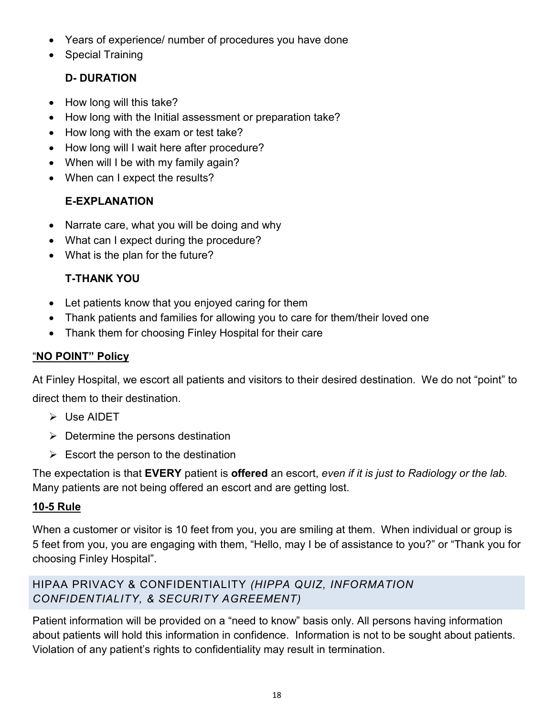- Years of experience/ number of procedures you have done
- Special Training

# **D- DURATION**

- How long will this take?
- How long with the Initial assessment or preparation take?
- How long with the exam or test take?
- How long will I wait here after procedure?
- When will I be with my family again?
- When can I expect the results?

# **E-EXPLANATION**

- Narrate care, what you will be doing and why
- What can I expect during the procedure?
- What is the plan for the future?

# **T-THANK YOU**

- Let patients know that you enjoyed caring for them
- Thank patients and families for allowing you to care for them/their loved one
- Thank them for choosing Finley Hospital for their care

# "**NO POINT" Policy**

At Finley Hospital, we escort all patients and visitors to their desired destination. We do not "point" to direct them to their destination.

- Use AIDET
- $\triangleright$  Determine the persons destination
- $\triangleright$  Escort the person to the destination

The expectation is that **EVERY** patient is **offered** an escort, *even if it is just to Radiology or the lab.* Many patients are not being offered an escort and are getting lost.

# **10-5 Rule**

When a customer or visitor is 10 feet from you, you are smiling at them. When individual or group is 5 feet from you, you are engaging with them, "Hello, may I be of assistance to you?" or "Thank you for choosing Finley Hospital".

# HIPAA PRIVACY & CONFIDENTIALITY *(HIPPA QUIZ, INFORMATION CONFIDENTIALITY, & SECURITY AGREEMENT)*

Patient information will be provided on a "need to know" basis only. All persons having information about patients will hold this information in confidence. Information is not to be sought about patients. Violation of any patient's rights to confidentiality may result in termination.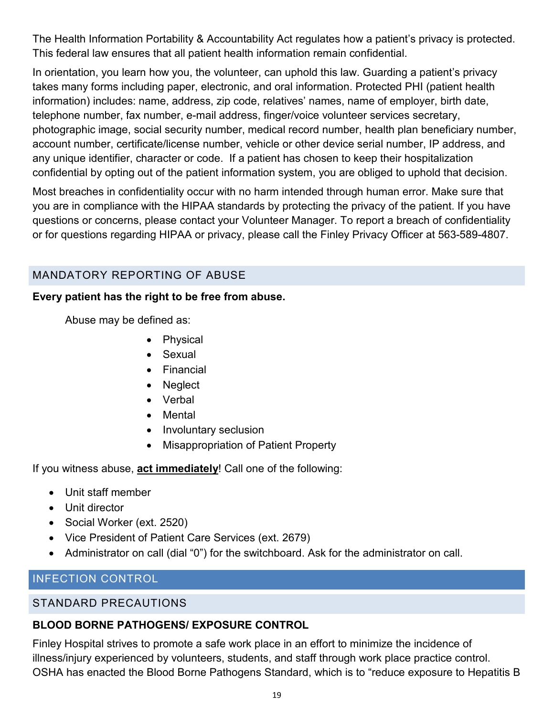The Health Information Portability & Accountability Act regulates how a patient's privacy is protected. This federal law ensures that all patient health information remain confidential.

In orientation, you learn how you, the volunteer, can uphold this law. Guarding a patient's privacy takes many forms including paper, electronic, and oral information. Protected PHI (patient health information) includes: name, address, zip code, relatives' names, name of employer, birth date, telephone number, fax number, e-mail address, finger/voice volunteer services secretary, photographic image, social security number, medical record number, health plan beneficiary number, account number, certificate/license number, vehicle or other device serial number, IP address, and any unique identifier, character or code. If a patient has chosen to keep their hospitalization confidential by opting out of the patient information system, you are obliged to uphold that decision.

Most breaches in confidentiality occur with no harm intended through human error. Make sure that you are in compliance with the HIPAA standards by protecting the privacy of the patient. If you have questions or concerns, please contact your Volunteer Manager. To report a breach of confidentiality or for questions regarding HIPAA or privacy, please call the Finley Privacy Officer at 563-589-4807.

# MANDATORY REPORTING OF ABUSE

#### **Every patient has the right to be free from abuse.**

Abuse may be defined as:

- Physical
- Sexual
- Financial
- Neglect
- Verbal
- Mental
- Involuntary seclusion
- Misappropriation of Patient Property

If you witness abuse, **act immediately**! Call one of the following:

- Unit staff member
- Unit director
- Social Worker (ext. 2520)
- Vice President of Patient Care Services (ext. 2679)
- Administrator on call (dial "0") for the switchboard. Ask for the administrator on call.

# INFECTION CONTROL

## STANDARD PRECAUTIONS

# **BLOOD BORNE PATHOGENS/ EXPOSURE CONTROL**

Finley Hospital strives to promote a safe work place in an effort to minimize the incidence of illness/injury experienced by volunteers, students, and staff through work place practice control. OSHA has enacted the Blood Borne Pathogens Standard, which is to "reduce exposure to Hepatitis B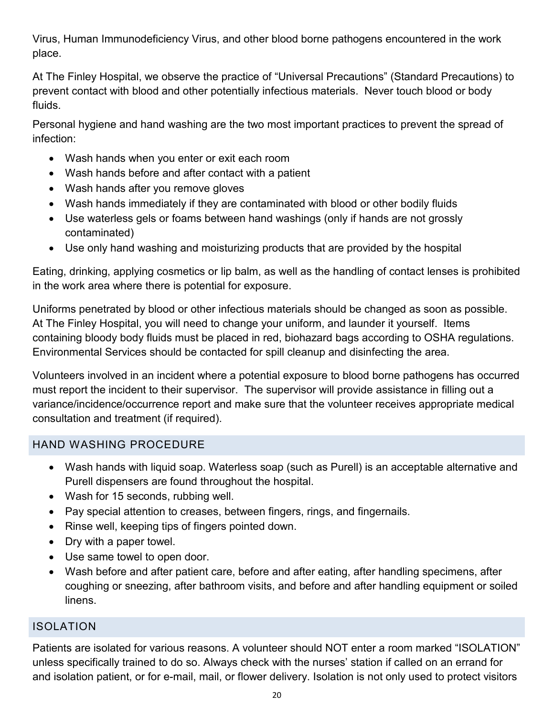Virus, Human Immunodeficiency Virus, and other blood borne pathogens encountered in the work place.

At The Finley Hospital, we observe the practice of "Universal Precautions" (Standard Precautions) to prevent contact with blood and other potentially infectious materials. Never touch blood or body fluids.

Personal hygiene and hand washing are the two most important practices to prevent the spread of infection:

- Wash hands when you enter or exit each room
- Wash hands before and after contact with a patient
- Wash hands after you remove gloves
- Wash hands immediately if they are contaminated with blood or other bodily fluids
- Use waterless gels or foams between hand washings (only if hands are not grossly contaminated)
- Use only hand washing and moisturizing products that are provided by the hospital

Eating, drinking, applying cosmetics or lip balm, as well as the handling of contact lenses is prohibited in the work area where there is potential for exposure.

Uniforms penetrated by blood or other infectious materials should be changed as soon as possible. At The Finley Hospital, you will need to change your uniform, and launder it yourself. Items containing bloody body fluids must be placed in red, biohazard bags according to OSHA regulations. Environmental Services should be contacted for spill cleanup and disinfecting the area.

Volunteers involved in an incident where a potential exposure to blood borne pathogens has occurred must report the incident to their supervisor. The supervisor will provide assistance in filling out a variance/incidence/occurrence report and make sure that the volunteer receives appropriate medical consultation and treatment (if required).

# HAND WASHING PROCEDURE

- Wash hands with liquid soap. Waterless soap (such as Purell) is an acceptable alternative and Purell dispensers are found throughout the hospital.
- Wash for 15 seconds, rubbing well.
- Pay special attention to creases, between fingers, rings, and fingernails.
- Rinse well, keeping tips of fingers pointed down.
- Dry with a paper towel.
- Use same towel to open door.
- Wash before and after patient care, before and after eating, after handling specimens, after coughing or sneezing, after bathroom visits, and before and after handling equipment or soiled linens.

# ISOLATION

Patients are isolated for various reasons. A volunteer should NOT enter a room marked "ISOLATION" unless specifically trained to do so. Always check with the nurses' station if called on an errand for and isolation patient, or for e-mail, mail, or flower delivery. Isolation is not only used to protect visitors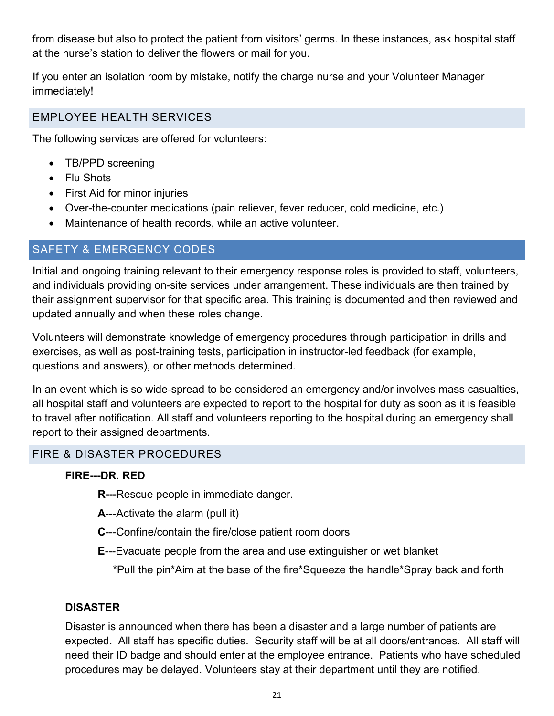from disease but also to protect the patient from visitors' germs. In these instances, ask hospital staff at the nurse's station to deliver the flowers or mail for you.

If you enter an isolation room by mistake, notify the charge nurse and your Volunteer Manager immediately!

# EMPLOYEE HEALTH SERVICES

The following services are offered for volunteers:

- TB/PPD screening
- Flu Shots
- First Aid for minor injuries
- Over-the-counter medications (pain reliever, fever reducer, cold medicine, etc.)
- Maintenance of health records, while an active volunteer.

# SAFETY & EMERGENCY CODES

Initial and ongoing training relevant to their emergency response roles is provided to staff, volunteers, and individuals providing on-site services under arrangement. These individuals are then trained by their assignment supervisor for that specific area. This training is documented and then reviewed and updated annually and when these roles change.

Volunteers will demonstrate knowledge of emergency procedures through participation in drills and exercises, as well as post-training tests, participation in instructor-led feedback (for example, questions and answers), or other methods determined.

In an event which is so wide-spread to be considered an emergency and/or involves mass casualties, all hospital staff and volunteers are expected to report to the hospital for duty as soon as it is feasible to travel after notification. All staff and volunteers reporting to the hospital during an emergency shall report to their assigned departments.

# FIRE & DISASTER PROCEDURES

# **FIRE---DR. RED**

- **R---**Rescue people in immediate danger.
- **A**---Activate the alarm (pull it)
- **C**---Confine/contain the fire/close patient room doors
- **E**---Evacuate people from the area and use extinguisher or wet blanket
	- \*Pull the pin\*Aim at the base of the fire\*Squeeze the handle\*Spray back and forth

# **DISASTER**

Disaster is announced when there has been a disaster and a large number of patients are expected. All staff has specific duties. Security staff will be at all doors/entrances. All staff will need their ID badge and should enter at the employee entrance. Patients who have scheduled procedures may be delayed. Volunteers stay at their department until they are notified.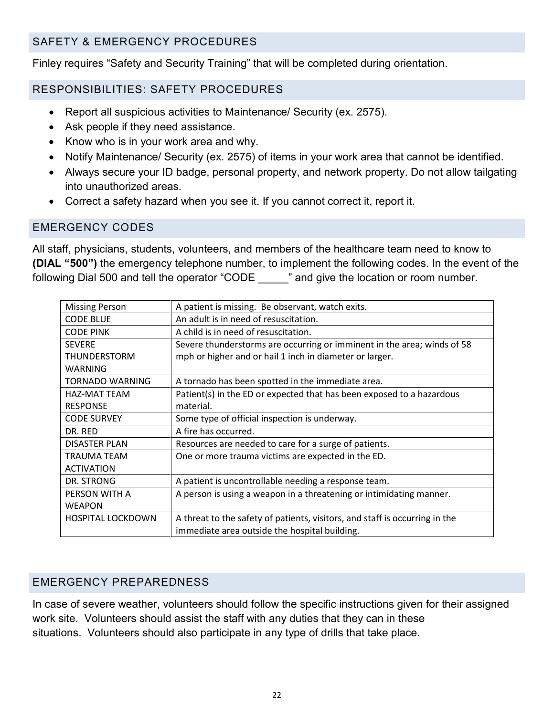# SAFETY & EMERGENCY PROCEDURES

Finley requires "Safety and Security Training" that will be completed during orientation.

# RESPONSIBILITIES: SAFETY PROCEDURES

- Report all suspicious activities to Maintenance/ Security (ex. 2575).
- Ask people if they need assistance.
- Know who is in your work area and why.
- Notify Maintenance/ Security (ex. 2575) of items in your work area that cannot be identified.
- Always secure your ID badge, personal property, and network property. Do not allow tailgating into unauthorized areas.
- Correct a safety hazard when you see it. If you cannot correct it, report it.

# EMERGENCY CODES

All staff, physicians, students, volunteers, and members of the healthcare team need to know to **(DIAL "500")** the emergency telephone number, to implement the following codes. In the event of the following Dial 500 and tell the operator "CODE" and give the location or room number.

| <b>Missing Person</b>    | A patient is missing. Be observant, watch exits.                            |
|--------------------------|-----------------------------------------------------------------------------|
| <b>CODE BLUE</b>         | An adult is in need of resuscitation.                                       |
| <b>CODE PINK</b>         | A child is in need of resuscitation.                                        |
| <b>SEVERE</b>            | Severe thunderstorms are occurring or imminent in the area; winds of 58     |
| THUNDERSTORM             | mph or higher and or hail 1 inch in diameter or larger.                     |
| WARNING                  |                                                                             |
| TORNADO WARNING          | A tornado has been spotted in the immediate area.                           |
| <b>HAZ-MAT TEAM</b>      | Patient(s) in the ED or expected that has been exposed to a hazardous       |
| <b>RESPONSE</b>          | material.                                                                   |
| <b>CODE SURVEY</b>       | Some type of official inspection is underway.                               |
| DR. RED                  | A fire has occurred.                                                        |
| <b>DISASTER PLAN</b>     | Resources are needed to care for a surge of patients.                       |
| TRAUMA TEAM              | One or more trauma victims are expected in the ED.                          |
| <b>ACTIVATION</b>        |                                                                             |
| DR. STRONG               | A patient is uncontrollable needing a response team.                        |
| PERSON WITH A            | A person is using a weapon in a threatening or intimidating manner.         |
| <b>WEAPON</b>            |                                                                             |
| <b>HOSPITAL LOCKDOWN</b> | A threat to the safety of patients, visitors, and staff is occurring in the |
|                          | immediate area outside the hospital building.                               |

# EMERGENCY PREPAREDNESS

In case of severe weather, volunteers should follow the specific instructions given for their assigned work site. Volunteers should assist the staff with any duties that they can in these situations. Volunteers should also participate in any type of drills that take place.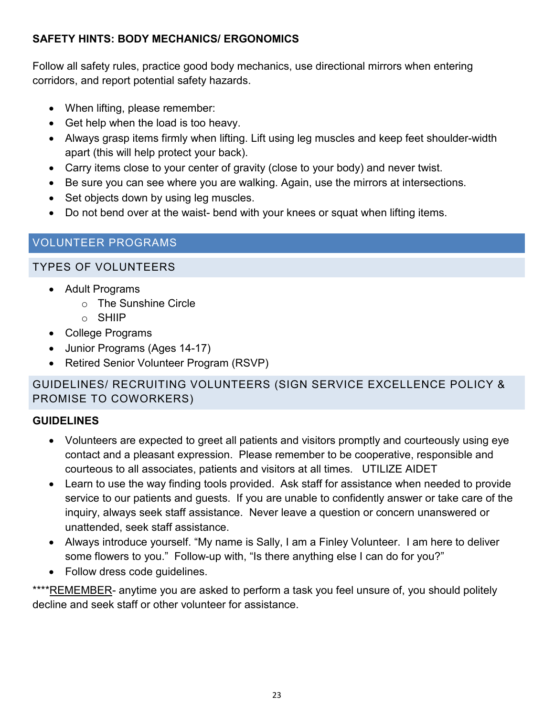# **SAFETY HINTS: BODY MECHANICS/ ERGONOMICS**

Follow all safety rules, practice good body mechanics, use directional mirrors when entering corridors, and report potential safety hazards.

- When lifting, please remember:
- Get help when the load is too heavy.
- Always grasp items firmly when lifting. Lift using leg muscles and keep feet shoulder-width apart (this will help protect your back).
- Carry items close to your center of gravity (close to your body) and never twist.
- Be sure you can see where you are walking. Again, use the mirrors at intersections.
- Set objects down by using leg muscles.
- Do not bend over at the waist- bend with your knees or squat when lifting items.

# VOLUNTEER PROGRAMS

# TYPES OF VOLUNTEERS

- Adult Programs
	- o The Sunshine Circle
	- o SHIIP
- College Programs
- Junior Programs (Ages 14-17)
- Retired Senior Volunteer Program (RSVP)

# GUIDELINES/ RECRUITING VOLUNTEERS (SIGN SERVICE EXCELLENCE POLICY & PROMISE TO COWORKERS)

# **GUIDELINES**

- Volunteers are expected to greet all patients and visitors promptly and courteously using eye contact and a pleasant expression. Please remember to be cooperative, responsible and courteous to all associates, patients and visitors at all times. UTILIZE AIDET
- Learn to use the way finding tools provided. Ask staff for assistance when needed to provide service to our patients and guests. If you are unable to confidently answer or take care of the inquiry, always seek staff assistance. Never leave a question or concern unanswered or unattended, seek staff assistance.
- Always introduce yourself. "My name is Sally, I am a Finley Volunteer. I am here to deliver some flowers to you." Follow-up with, "Is there anything else I can do for you?"
- Follow dress code guidelines.

\*\*\*\*REMEMBER- anytime you are asked to perform a task you feel unsure of, you should politely decline and seek staff or other volunteer for assistance.